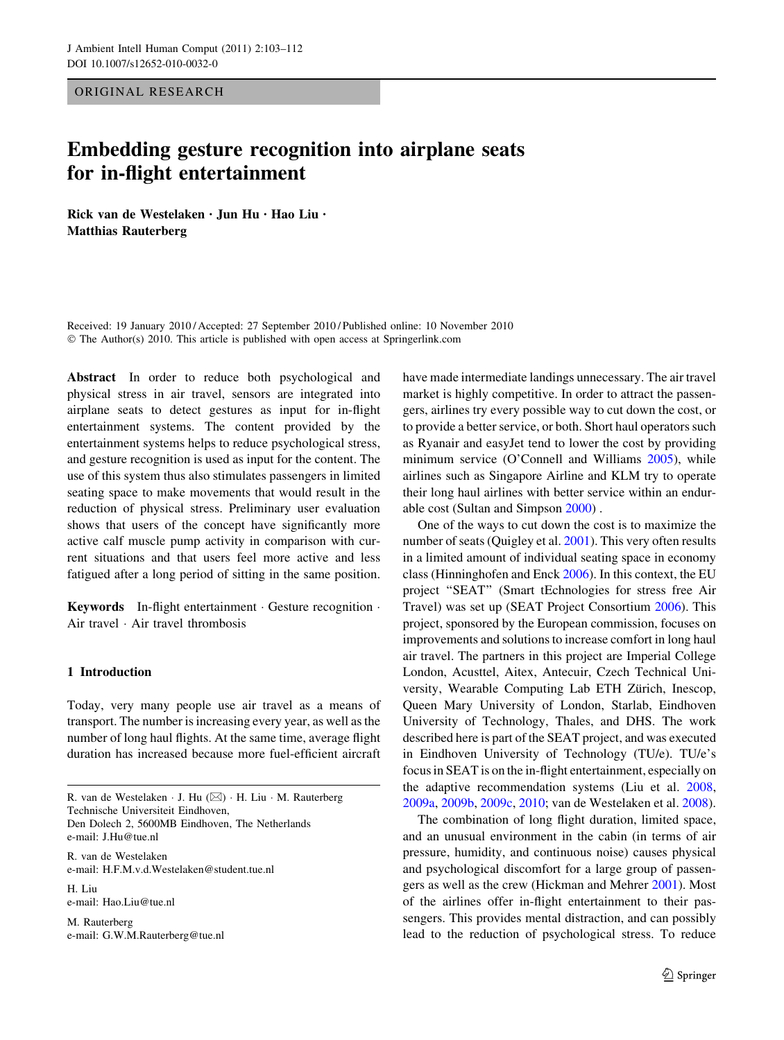ORIGINAL RESEARCH

# Embedding gesture recognition into airplane seats for in-flight entertainment

Rick van de Westelaken • Jun Hu • Hao Liu • Matthias Rauterberg

Received: 19 January 2010 / Accepted: 27 September 2010 / Published online: 10 November 2010 © The Author(s) 2010. This article is published with open access at Springerlink.com

Abstract In order to reduce both psychological and physical stress in air travel, sensors are integrated into airplane seats to detect gestures as input for in-flight entertainment systems. The content provided by the entertainment systems helps to reduce psychological stress, and gesture recognition is used as input for the content. The use of this system thus also stimulates passengers in limited seating space to make movements that would result in the reduction of physical stress. Preliminary user evaluation shows that users of the concept have significantly more active calf muscle pump activity in comparison with current situations and that users feel more active and less fatigued after a long period of sitting in the same position.

Keywords In-flight entertainment - Gesture recognition - Air travel · Air travel thrombosis

# 1 Introduction

Today, very many people use air travel as a means of transport. The number is increasing every year, as well as the number of long haul flights. At the same time, average flight duration has increased because more fuel-efficient aircraft

R. van de Westelaken e-mail: H.F.M.v.d.Westelaken@student.tue.nl

H. Liu e-mail: Hao.Liu@tue.nl

M. Rauterberg e-mail: G.W.M.Rauterberg@tue.nl have made intermediate landings unnecessary. The air travel market is highly competitive. In order to attract the passengers, airlines try every possible way to cut down the cost, or to provide a better service, or both. Short haul operators such as Ryanair and easyJet tend to lower the cost by providing minimum service (O'Connell and Williams [2005\)](#page-9-0), while airlines such as Singapore Airline and KLM try to operate their long haul airlines with better service within an endurable cost (Sultan and Simpson [2000\)](#page-9-0) .

One of the ways to cut down the cost is to maximize the number of seats (Quigley et al. [2001\)](#page-9-0). This very often results in a limited amount of individual seating space in economy class (Hinninghofen and Enck [2006\)](#page-9-0). In this context, the EU project ''SEAT'' (Smart tEchnologies for stress free Air Travel) was set up (SEAT Project Consortium [2006\)](#page-9-0). This project, sponsored by the European commission, focuses on improvements and solutions to increase comfort in long haul air travel. The partners in this project are Imperial College London, Acusttel, Aitex, Antecuir, Czech Technical University, Wearable Computing Lab ETH Zürich, Inescop, Queen Mary University of London, Starlab, Eindhoven University of Technology, Thales, and DHS. The work described here is part of the SEAT project, and was executed in Eindhoven University of Technology (TU/e). TU/e's focus in SEAT is on the in-flight entertainment, especially on the adaptive recommendation systems (Liu et al. [2008,](#page-9-0) [2009a,](#page-9-0) [2009b](#page-9-0), [2009c,](#page-9-0) [2010](#page-9-0); van de Westelaken et al. [2008](#page-9-0)).

The combination of long flight duration, limited space, and an unusual environment in the cabin (in terms of air pressure, humidity, and continuous noise) causes physical and psychological discomfort for a large group of passengers as well as the crew (Hickman and Mehrer [2001](#page-9-0)). Most of the airlines offer in-flight entertainment to their passengers. This provides mental distraction, and can possibly lead to the reduction of psychological stress. To reduce

R. van de Westelaken ⋅ J. Hu (⊠) ⋅ H. Liu ⋅ M. Rauterberg Technische Universiteit Eindhoven, Den Dolech 2, 5600MB Eindhoven, The Netherlands e-mail: J.Hu@tue.nl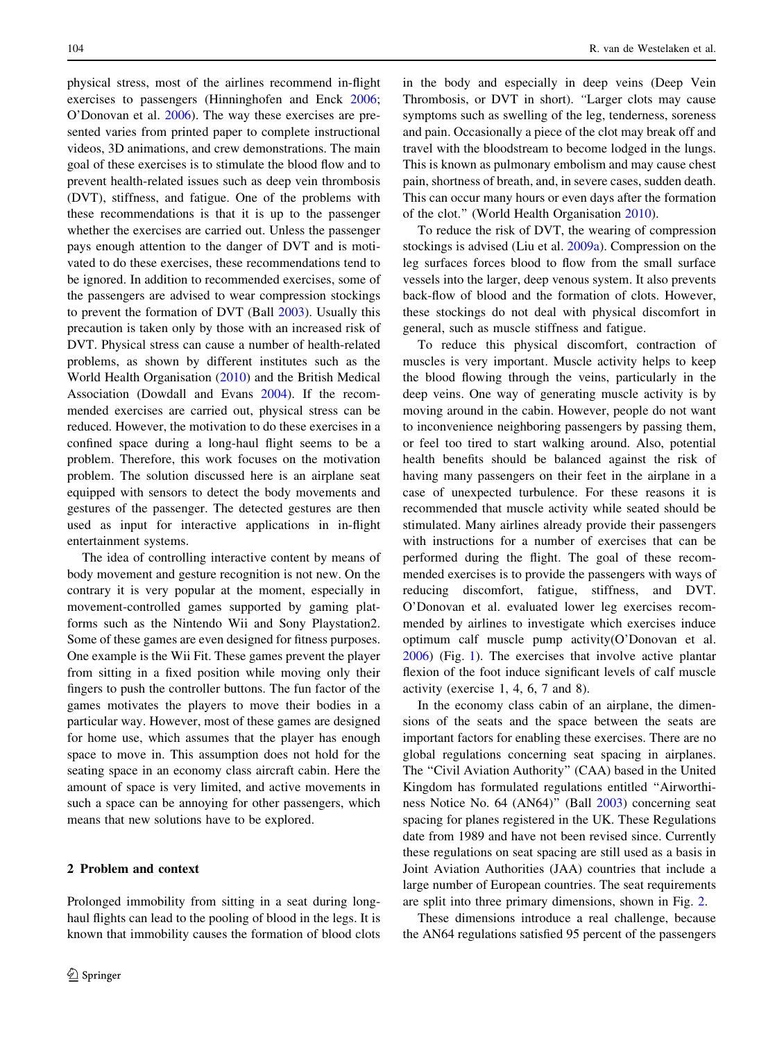physical stress, most of the airlines recommend in-flight exercises to passengers (Hinninghofen and Enck [2006](#page-9-0); O'Donovan et al. [2006](#page-9-0)). The way these exercises are presented varies from printed paper to complete instructional videos, 3D animations, and crew demonstrations. The main goal of these exercises is to stimulate the blood flow and to prevent health-related issues such as deep vein thrombosis (DVT), stiffness, and fatigue. One of the problems with these recommendations is that it is up to the passenger whether the exercises are carried out. Unless the passenger pays enough attention to the danger of DVT and is motivated to do these exercises, these recommendations tend to be ignored. In addition to recommended exercises, some of the passengers are advised to wear compression stockings to prevent the formation of DVT (Ball [2003](#page-9-0)). Usually this precaution is taken only by those with an increased risk of DVT. Physical stress can cause a number of health-related problems, as shown by different institutes such as the World Health Organisation [\(2010](#page-9-0)) and the British Medical Association (Dowdall and Evans [2004](#page-9-0)). If the recommended exercises are carried out, physical stress can be reduced. However, the motivation to do these exercises in a confined space during a long-haul flight seems to be a problem. Therefore, this work focuses on the motivation problem. The solution discussed here is an airplane seat equipped with sensors to detect the body movements and gestures of the passenger. The detected gestures are then used as input for interactive applications in in-flight entertainment systems.

The idea of controlling interactive content by means of body movement and gesture recognition is not new. On the contrary it is very popular at the moment, especially in movement-controlled games supported by gaming platforms such as the Nintendo Wii and Sony Playstation2. Some of these games are even designed for fitness purposes. One example is the Wii Fit. These games prevent the player from sitting in a fixed position while moving only their fingers to push the controller buttons. The fun factor of the games motivates the players to move their bodies in a particular way. However, most of these games are designed for home use, which assumes that the player has enough space to move in. This assumption does not hold for the seating space in an economy class aircraft cabin. Here the amount of space is very limited, and active movements in such a space can be annoying for other passengers, which means that new solutions have to be explored.

#### 2 Problem and context

Prolonged immobility from sitting in a seat during longhaul flights can lead to the pooling of blood in the legs. It is known that immobility causes the formation of blood clots in the body and especially in deep veins (Deep Vein Thrombosis, or DVT in short). "Larger clots may cause symptoms such as swelling of the leg, tenderness, soreness and pain. Occasionally a piece of the clot may break off and travel with the bloodstream to become lodged in the lungs. This is known as pulmonary embolism and may cause chest pain, shortness of breath, and, in severe cases, sudden death. This can occur many hours or even days after the formation of the clot.'' (World Health Organisation [2010\)](#page-9-0).

To reduce the risk of DVT, the wearing of compression stockings is advised (Liu et al. [2009a\)](#page-9-0). Compression on the leg surfaces forces blood to flow from the small surface vessels into the larger, deep venous system. It also prevents back-flow of blood and the formation of clots. However, these stockings do not deal with physical discomfort in general, such as muscle stiffness and fatigue.

To reduce this physical discomfort, contraction of muscles is very important. Muscle activity helps to keep the blood flowing through the veins, particularly in the deep veins. One way of generating muscle activity is by moving around in the cabin. However, people do not want to inconvenience neighboring passengers by passing them, or feel too tired to start walking around. Also, potential health benefits should be balanced against the risk of having many passengers on their feet in the airplane in a case of unexpected turbulence. For these reasons it is recommended that muscle activity while seated should be stimulated. Many airlines already provide their passengers with instructions for a number of exercises that can be performed during the flight. The goal of these recommended exercises is to provide the passengers with ways of reducing discomfort, fatigue, stiffness, and DVT. O'Donovan et al. evaluated lower leg exercises recommended by airlines to investigate which exercises induce optimum calf muscle pump activity(O'Donovan et al. [2006](#page-9-0)) (Fig. [1](#page-2-0)). The exercises that involve active plantar flexion of the foot induce significant levels of calf muscle activity (exercise 1, 4, 6, 7 and 8).

In the economy class cabin of an airplane, the dimensions of the seats and the space between the seats are important factors for enabling these exercises. There are no global regulations concerning seat spacing in airplanes. The "Civil Aviation Authority" (CAA) based in the United Kingdom has formulated regulations entitled ''Airworthiness Notice No. 64 (AN64)'' (Ball [2003](#page-9-0)) concerning seat spacing for planes registered in the UK. These Regulations date from 1989 and have not been revised since. Currently these regulations on seat spacing are still used as a basis in Joint Aviation Authorities (JAA) countries that include a large number of European countries. The seat requirements are split into three primary dimensions, shown in Fig. [2.](#page-2-0)

These dimensions introduce a real challenge, because the AN64 regulations satisfied 95 percent of the passengers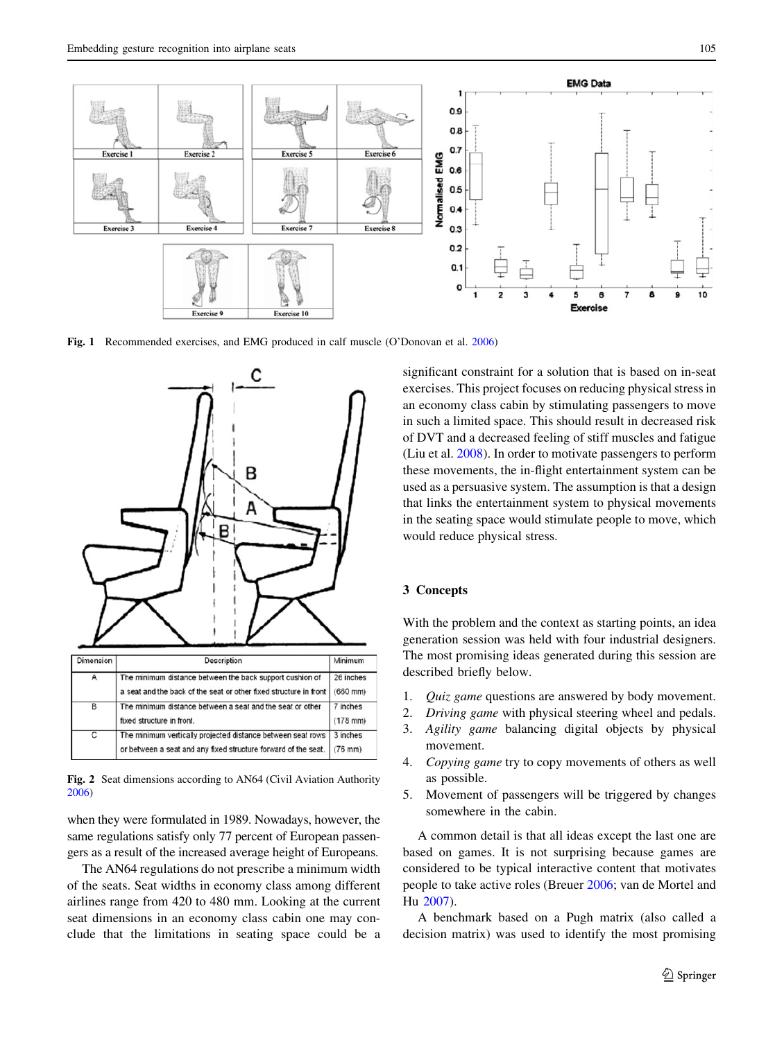<span id="page-2-0"></span>

Fig. 1 Recommended exercises, and EMG produced in calf muscle (O'Donovan et al. [2006\)](#page-9-0)



Fig. 2 Seat dimensions according to AN64 (Civil Aviation Authority [2006\)](#page-9-0)

when they were formulated in 1989. Nowadays, however, the same regulations satisfy only 77 percent of European passengers as a result of the increased average height of Europeans.

The AN64 regulations do not prescribe a minimum width of the seats. Seat widths in economy class among different airlines range from 420 to 480 mm. Looking at the current seat dimensions in an economy class cabin one may conclude that the limitations in seating space could be a significant constraint for a solution that is based on in-seat exercises. This project focuses on reducing physical stress in an economy class cabin by stimulating passengers to move in such a limited space. This should result in decreased risk of DVT and a decreased feeling of stiff muscles and fatigue (Liu et al. [2008](#page-9-0)). In order to motivate passengers to perform these movements, the in-flight entertainment system can be used as a persuasive system. The assumption is that a design that links the entertainment system to physical movements in the seating space would stimulate people to move, which would reduce physical stress.

# 3 Concepts

With the problem and the context as starting points, an idea generation session was held with four industrial designers. The most promising ideas generated during this session are described briefly below.

- 1. Quiz game questions are answered by body movement.
- 2. Driving game with physical steering wheel and pedals.
- 3. Agility game balancing digital objects by physical movement.
- 4. Copying game try to copy movements of others as well as possible.
- 5. Movement of passengers will be triggered by changes somewhere in the cabin.

A common detail is that all ideas except the last one are based on games. It is not surprising because games are considered to be typical interactive content that motivates people to take active roles (Breuer [2006](#page-9-0); van de Mortel and Hu [2007\)](#page-9-0).

A benchmark based on a Pugh matrix (also called a decision matrix) was used to identify the most promising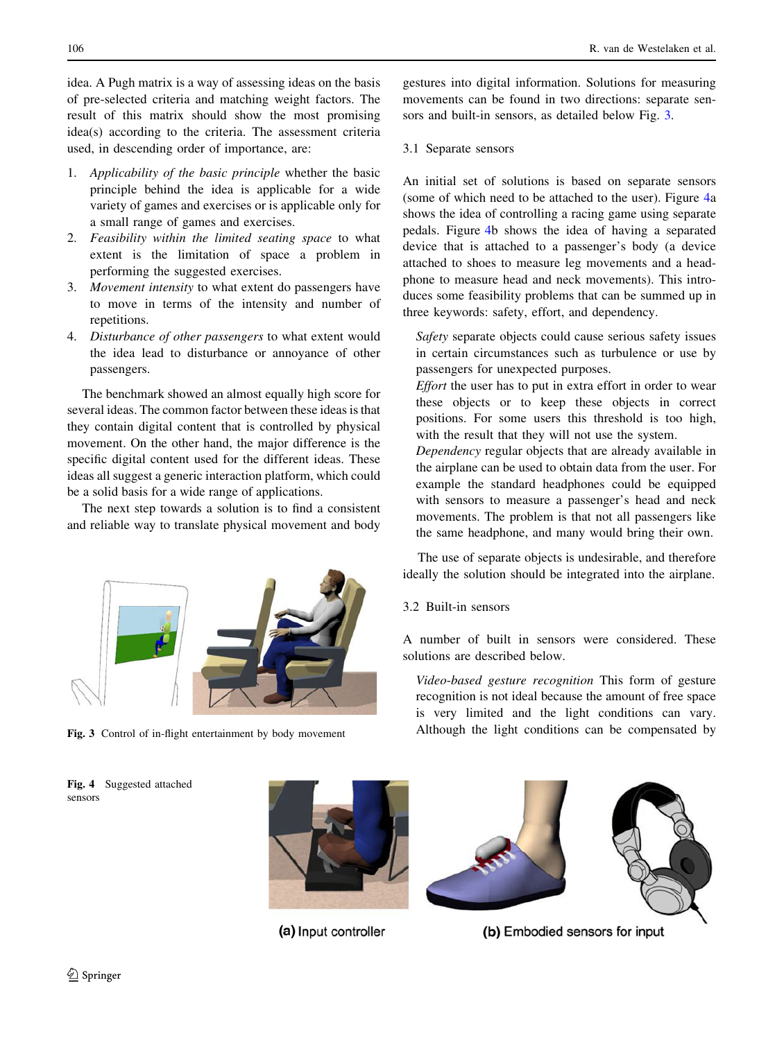idea. A Pugh matrix is a way of assessing ideas on the basis of pre-selected criteria and matching weight factors. The result of this matrix should show the most promising idea(s) according to the criteria. The assessment criteria used, in descending order of importance, are:

- 1. Applicability of the basic principle whether the basic principle behind the idea is applicable for a wide variety of games and exercises or is applicable only for a small range of games and exercises.
- 2. Feasibility within the limited seating space to what extent is the limitation of space a problem in performing the suggested exercises.
- 3. Movement intensity to what extent do passengers have to move in terms of the intensity and number of repetitions.
- 4. Disturbance of other passengers to what extent would the idea lead to disturbance or annoyance of other passengers.

The benchmark showed an almost equally high score for several ideas. The common factor between these ideas is that they contain digital content that is controlled by physical movement. On the other hand, the major difference is the specific digital content used for the different ideas. These ideas all suggest a generic interaction platform, which could be a solid basis for a wide range of applications.

The next step towards a solution is to find a consistent and reliable way to translate physical movement and body



Fig. 4 Suggested attached sensors



(a) Input controller

gestures into digital information. Solutions for measuring movements can be found in two directions: separate sensors and built-in sensors, as detailed below Fig. 3.

## 3.1 Separate sensors

An initial set of solutions is based on separate sensors (some of which need to be attached to the user). Figure 4a shows the idea of controlling a racing game using separate pedals. Figure 4b shows the idea of having a separated device that is attached to a passenger's body (a device attached to shoes to measure leg movements and a headphone to measure head and neck movements). This introduces some feasibility problems that can be summed up in three keywords: safety, effort, and dependency.

Safety separate objects could cause serious safety issues in certain circumstances such as turbulence or use by passengers for unexpected purposes.

Effort the user has to put in extra effort in order to wear these objects or to keep these objects in correct positions. For some users this threshold is too high, with the result that they will not use the system.

Dependency regular objects that are already available in the airplane can be used to obtain data from the user. For example the standard headphones could be equipped with sensors to measure a passenger's head and neck movements. The problem is that not all passengers like the same headphone, and many would bring their own.

The use of separate objects is undesirable, and therefore ideally the solution should be integrated into the airplane.

## 3.2 Built-in sensors

A number of built in sensors were considered. These solutions are described below.

Video-based gesture recognition This form of gesture recognition is not ideal because the amount of free space is very limited and the light conditions can vary. Fig. 3 Control of in-flight entertainment by body movement Although the light conditions can be compensated by



(b) Embodied sensors for input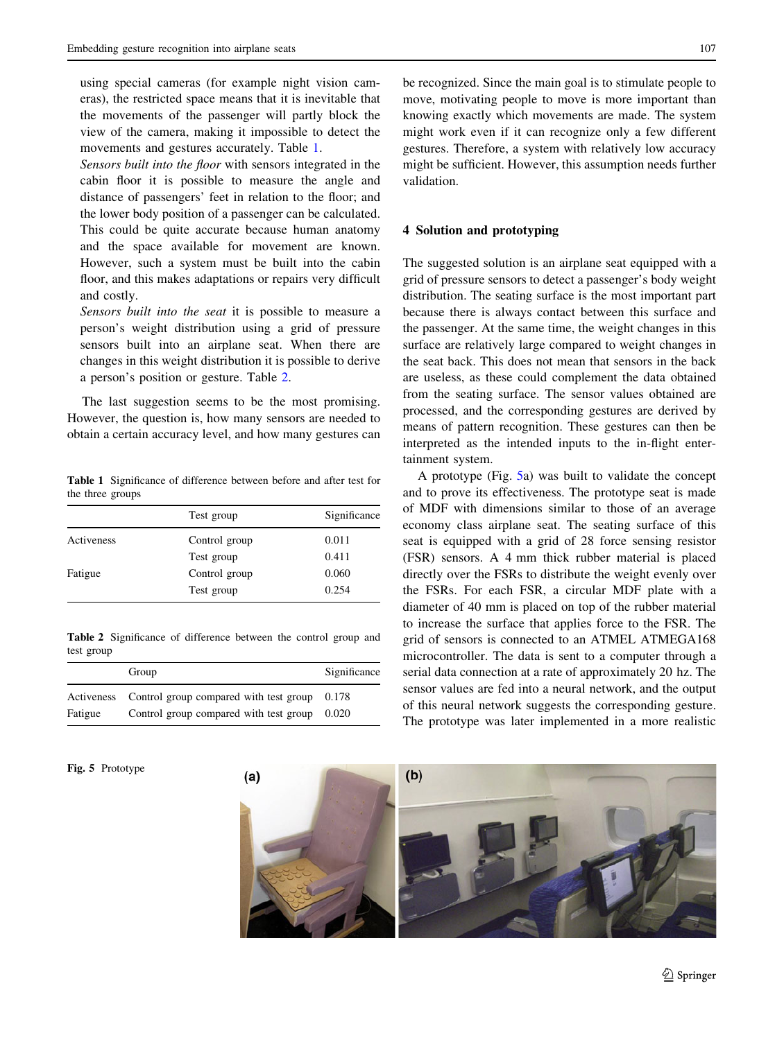<span id="page-4-0"></span>using special cameras (for example night vision cameras), the restricted space means that it is inevitable that the movements of the passenger will partly block the view of the camera, making it impossible to detect the movements and gestures accurately. Table 1.

Sensors built into the floor with sensors integrated in the cabin floor it is possible to measure the angle and distance of passengers' feet in relation to the floor; and the lower body position of a passenger can be calculated. This could be quite accurate because human anatomy and the space available for movement are known. However, such a system must be built into the cabin floor, and this makes adaptations or repairs very difficult and costly.

Sensors built into the seat it is possible to measure a person's weight distribution using a grid of pressure sensors built into an airplane seat. When there are changes in this weight distribution it is possible to derive a person's position or gesture. Table 2.

The last suggestion seems to be the most promising. However, the question is, how many sensors are needed to obtain a certain accuracy level, and how many gestures can

Table 1 Significance of difference between before and after test for the three groups

|            | Test group    | Significance |
|------------|---------------|--------------|
| Activeness | Control group | 0.011        |
|            | Test group    | 0.411        |
| Fatigue    | Control group | 0.060        |
|            | Test group    | 0.254        |

Table 2 Significance of difference between the control group and test group

| Group   |                                                         | Significance |
|---------|---------------------------------------------------------|--------------|
|         | Activeness Control group compared with test group 0.178 |              |
| Fatigue | Control group compared with test group $0.020$          |              |

Fig. 5 Prototype

be recognized. Since the main goal is to stimulate people to move, motivating people to move is more important than knowing exactly which movements are made. The system might work even if it can recognize only a few different gestures. Therefore, a system with relatively low accuracy might be sufficient. However, this assumption needs further validation.

## 4 Solution and prototyping

The suggested solution is an airplane seat equipped with a grid of pressure sensors to detect a passenger's body weight distribution. The seating surface is the most important part because there is always contact between this surface and the passenger. At the same time, the weight changes in this surface are relatively large compared to weight changes in the seat back. This does not mean that sensors in the back are useless, as these could complement the data obtained from the seating surface. The sensor values obtained are processed, and the corresponding gestures are derived by means of pattern recognition. These gestures can then be interpreted as the intended inputs to the in-flight entertainment system.

A prototype (Fig. 5a) was built to validate the concept and to prove its effectiveness. The prototype seat is made of MDF with dimensions similar to those of an average economy class airplane seat. The seating surface of this seat is equipped with a grid of 28 force sensing resistor (FSR) sensors. A 4 mm thick rubber material is placed directly over the FSRs to distribute the weight evenly over the FSRs. For each FSR, a circular MDF plate with a diameter of 40 mm is placed on top of the rubber material to increase the surface that applies force to the FSR. The grid of sensors is connected to an ATMEL ATMEGA168 microcontroller. The data is sent to a computer through a serial data connection at a rate of approximately 20 hz. The sensor values are fed into a neural network, and the output of this neural network suggests the corresponding gesture. The prototype was later implemented in a more realistic

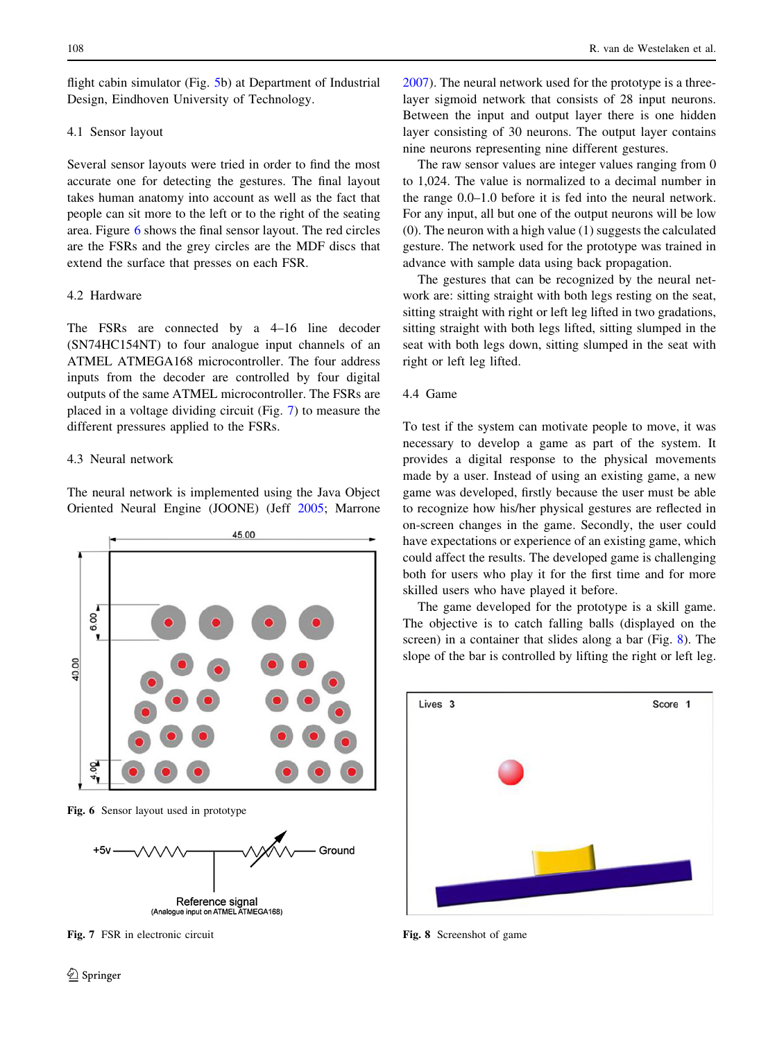flight cabin simulator (Fig. [5b](#page-4-0)) at Department of Industrial Design, Eindhoven University of Technology.

## 4.1 Sensor layout

Several sensor layouts were tried in order to find the most accurate one for detecting the gestures. The final layout takes human anatomy into account as well as the fact that people can sit more to the left or to the right of the seating area. Figure 6 shows the final sensor layout. The red circles are the FSRs and the grey circles are the MDF discs that extend the surface that presses on each FSR.

## 4.2 Hardware

The FSRs are connected by a 4–16 line decoder (SN74HC154NT) to four analogue input channels of an ATMEL ATMEGA168 microcontroller. The four address inputs from the decoder are controlled by four digital outputs of the same ATMEL microcontroller. The FSRs are placed in a voltage dividing circuit (Fig. 7) to measure the different pressures applied to the FSRs.

## 4.3 Neural network

6.00

The neural network is implemented using the Java Object Oriented Neural Engine (JOONE) (Jeff [2005](#page-9-0); Marrone

45.00



Fig. 6 Sensor layout used in prototype



Fig. 7 FSR in electronic circuit Fig. 8 Screenshot of game

[2007](#page-9-0)). The neural network used for the prototype is a threelayer sigmoid network that consists of 28 input neurons. Between the input and output layer there is one hidden layer consisting of 30 neurons. The output layer contains nine neurons representing nine different gestures.

The raw sensor values are integer values ranging from 0 to 1,024. The value is normalized to a decimal number in the range 0.0–1.0 before it is fed into the neural network. For any input, all but one of the output neurons will be low (0). The neuron with a high value (1) suggests the calculated gesture. The network used for the prototype was trained in advance with sample data using back propagation.

The gestures that can be recognized by the neural network are: sitting straight with both legs resting on the seat, sitting straight with right or left leg lifted in two gradations, sitting straight with both legs lifted, sitting slumped in the seat with both legs down, sitting slumped in the seat with right or left leg lifted.

## 4.4 Game

To test if the system can motivate people to move, it was necessary to develop a game as part of the system. It provides a digital response to the physical movements made by a user. Instead of using an existing game, a new game was developed, firstly because the user must be able to recognize how his/her physical gestures are reflected in on-screen changes in the game. Secondly, the user could have expectations or experience of an existing game, which could affect the results. The developed game is challenging both for users who play it for the first time and for more skilled users who have played it before.

The game developed for the prototype is a skill game. The objective is to catch falling balls (displayed on the screen) in a container that slides along a bar (Fig. 8). The slope of the bar is controlled by lifting the right or left leg.

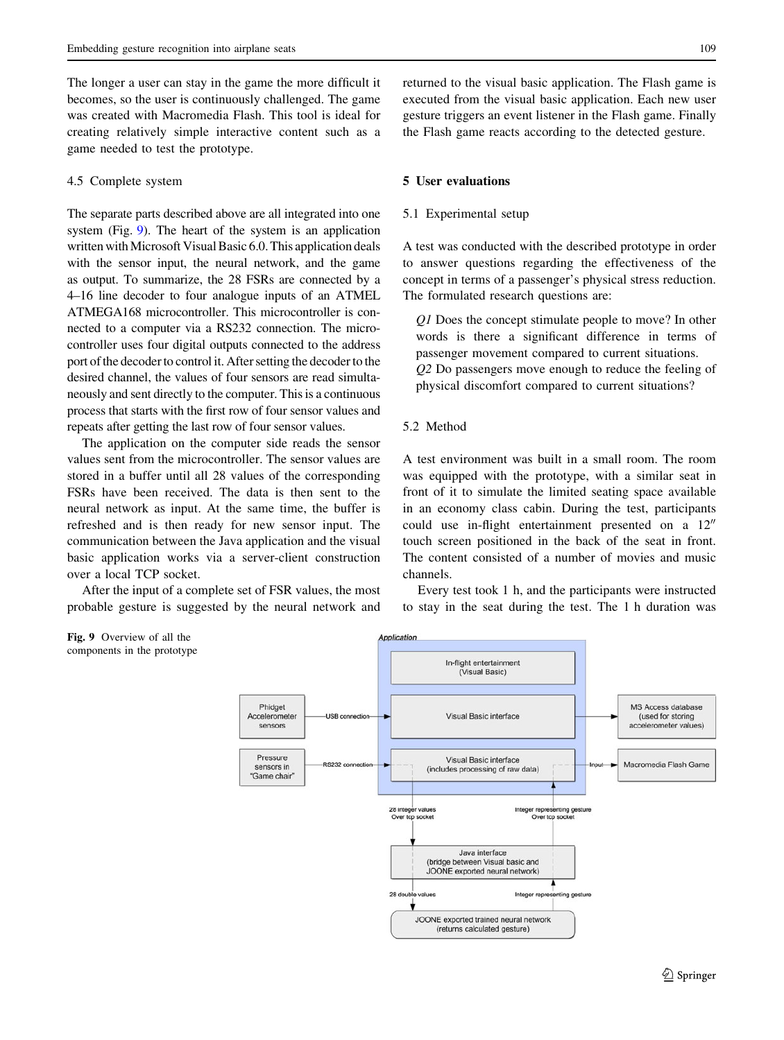The longer a user can stay in the game the more difficult it becomes, so the user is continuously challenged. The game was created with Macromedia Flash. This tool is ideal for creating relatively simple interactive content such as a game needed to test the prototype.

#### 4.5 Complete system

The separate parts described above are all integrated into one system (Fig. 9). The heart of the system is an application written with Microsoft Visual Basic 6.0. This application deals with the sensor input, the neural network, and the game as output. To summarize, the 28 FSRs are connected by a 4–16 line decoder to four analogue inputs of an ATMEL ATMEGA168 microcontroller. This microcontroller is connected to a computer via a RS232 connection. The microcontroller uses four digital outputs connected to the address port of the decoder to control it. After setting the decoder to the desired channel, the values of four sensors are read simultaneously and sent directly to the computer. This is a continuous process that starts with the first row of four sensor values and repeats after getting the last row of four sensor values.

The application on the computer side reads the sensor values sent from the microcontroller. The sensor values are stored in a buffer until all 28 values of the corresponding FSRs have been received. The data is then sent to the neural network as input. At the same time, the buffer is refreshed and is then ready for new sensor input. The communication between the Java application and the visual basic application works via a server-client construction over a local TCP socket.

After the input of a complete set of FSR values, the most probable gesture is suggested by the neural network and returned to the visual basic application. The Flash game is executed from the visual basic application. Each new user gesture triggers an event listener in the Flash game. Finally the Flash game reacts according to the detected gesture.

# 5 User evaluations

## 5.1 Experimental setup

A test was conducted with the described prototype in order to answer questions regarding the effectiveness of the concept in terms of a passenger's physical stress reduction. The formulated research questions are:

Q1 Does the concept stimulate people to move? In other words is there a significant difference in terms of passenger movement compared to current situations. Q2 Do passengers move enough to reduce the feeling of physical discomfort compared to current situations?

## 5.2 Method

A test environment was built in a small room. The room was equipped with the prototype, with a similar seat in front of it to simulate the limited seating space available in an economy class cabin. During the test, participants could use in-flight entertainment presented on a  $12<sup>th</sup>$ touch screen positioned in the back of the seat in front. The content consisted of a number of movies and music channels.

Every test took 1 h, and the participants were instructed to stay in the seat during the test. The 1 h duration was

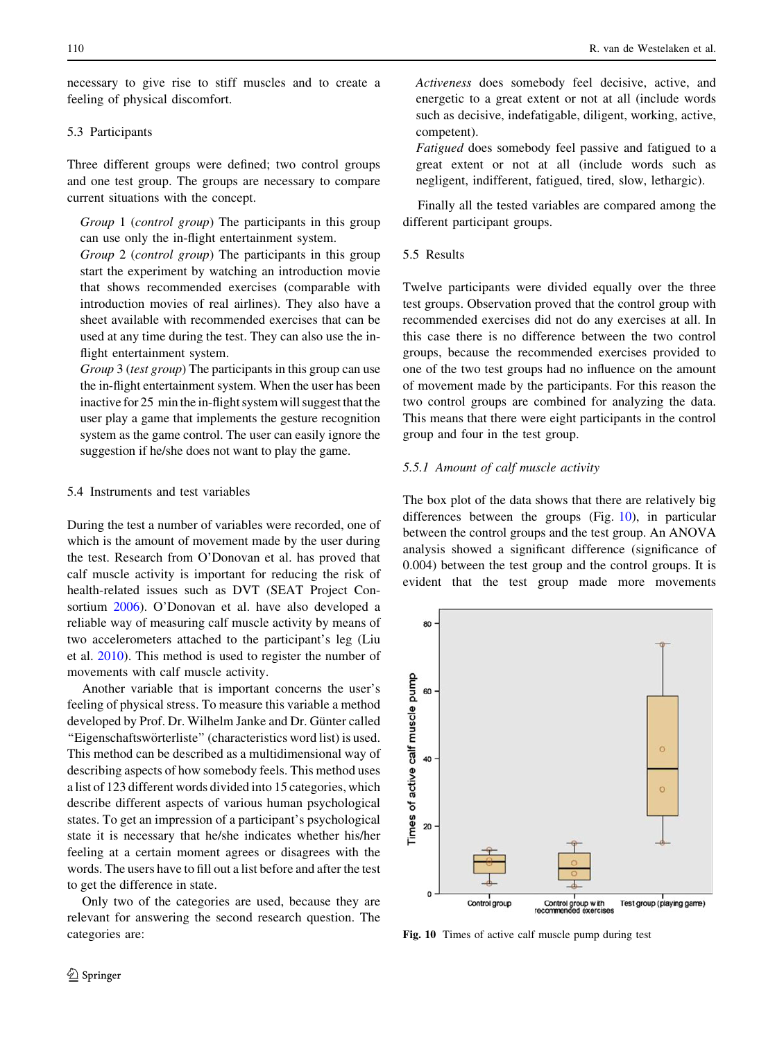necessary to give rise to stiff muscles and to create a feeling of physical discomfort.

# 5.3 Participants

Three different groups were defined; two control groups and one test group. The groups are necessary to compare current situations with the concept.

Group 1 (control group) The participants in this group can use only the in-flight entertainment system.

Group 2 (control group) The participants in this group start the experiment by watching an introduction movie that shows recommended exercises (comparable with introduction movies of real airlines). They also have a sheet available with recommended exercises that can be used at any time during the test. They can also use the inflight entertainment system.

Group 3 (test group) The participants in this group can use the in-flight entertainment system. When the user has been inactive for 25 min the in-flight system will suggest that the user play a game that implements the gesture recognition system as the game control. The user can easily ignore the suggestion if he/she does not want to play the game.

## 5.4 Instruments and test variables

During the test a number of variables were recorded, one of which is the amount of movement made by the user during the test. Research from O'Donovan et al. has proved that calf muscle activity is important for reducing the risk of health-related issues such as DVT (SEAT Project Consortium [2006](#page-9-0)). O'Donovan et al. have also developed a reliable way of measuring calf muscle activity by means of two accelerometers attached to the participant's leg (Liu et al. [2010](#page-9-0)). This method is used to register the number of movements with calf muscle activity.

Another variable that is important concerns the user's feeling of physical stress. To measure this variable a method developed by Prof. Dr. Wilhelm Janke and Dr. Günter called "Eigenschaftswörterliste" (characteristics word list) is used. This method can be described as a multidimensional way of describing aspects of how somebody feels. This method uses a list of 123 different words divided into 15 categories, which describe different aspects of various human psychological states. To get an impression of a participant's psychological state it is necessary that he/she indicates whether his/her feeling at a certain moment agrees or disagrees with the words. The users have to fill out a list before and after the test to get the difference in state.

Only two of the categories are used, because they are relevant for answering the second research question. The categories are:

Activeness does somebody feel decisive, active, and energetic to a great extent or not at all (include words such as decisive, indefatigable, diligent, working, active, competent).

Fatigued does somebody feel passive and fatigued to a great extent or not at all (include words such as negligent, indifferent, fatigued, tired, slow, lethargic).

Finally all the tested variables are compared among the different participant groups.

## 5.5 Results

Twelve participants were divided equally over the three test groups. Observation proved that the control group with recommended exercises did not do any exercises at all. In this case there is no difference between the two control groups, because the recommended exercises provided to one of the two test groups had no influence on the amount of movement made by the participants. For this reason the two control groups are combined for analyzing the data. This means that there were eight participants in the control group and four in the test group.

## 5.5.1 Amount of calf muscle activity

The box plot of the data shows that there are relatively big differences between the groups (Fig. 10), in particular between the control groups and the test group. An ANOVA analysis showed a significant difference (significance of 0.004) between the test group and the control groups. It is evident that the test group made more movements



Fig. 10 Times of active calf muscle pump during test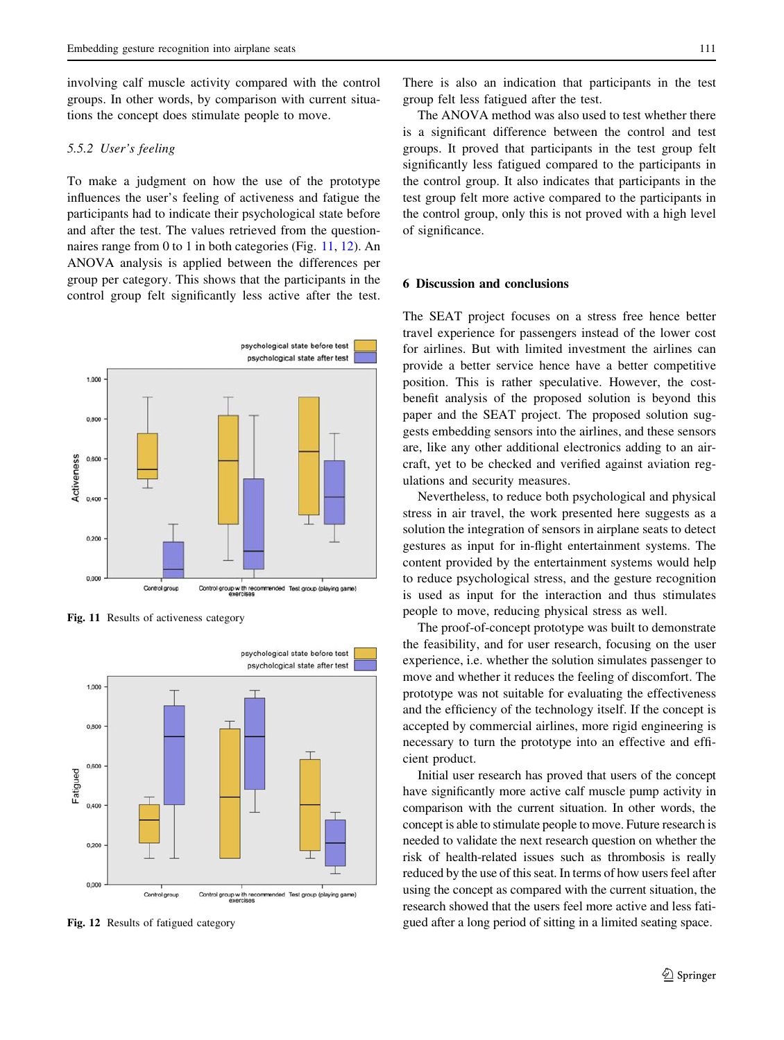involving calf muscle activity compared with the control groups. In other words, by comparison with current situations the concept does stimulate people to move.

# 5.5.2 User's feeling

To make a judgment on how the use of the prototype influences the user's feeling of activeness and fatigue the participants had to indicate their psychological state before and after the test. The values retrieved from the questionnaires range from 0 to 1 in both categories (Fig. 11, 12). An ANOVA analysis is applied between the differences per group per category. This shows that the participants in the control group felt significantly less active after the test.



Fig. 11 Results of activeness category



Fig. 12 Results of fatigued category

There is also an indication that participants in the test group felt less fatigued after the test.

The ANOVA method was also used to test whether there is a significant difference between the control and test groups. It proved that participants in the test group felt significantly less fatigued compared to the participants in the control group. It also indicates that participants in the test group felt more active compared to the participants in the control group, only this is not proved with a high level of significance.

#### 6 Discussion and conclusions

The SEAT project focuses on a stress free hence better travel experience for passengers instead of the lower cost for airlines. But with limited investment the airlines can provide a better service hence have a better competitive position. This is rather speculative. However, the costbenefit analysis of the proposed solution is beyond this paper and the SEAT project. The proposed solution suggests embedding sensors into the airlines, and these sensors are, like any other additional electronics adding to an aircraft, yet to be checked and verified against aviation regulations and security measures.

Nevertheless, to reduce both psychological and physical stress in air travel, the work presented here suggests as a solution the integration of sensors in airplane seats to detect gestures as input for in-flight entertainment systems. The content provided by the entertainment systems would help to reduce psychological stress, and the gesture recognition is used as input for the interaction and thus stimulates people to move, reducing physical stress as well.

The proof-of-concept prototype was built to demonstrate the feasibility, and for user research, focusing on the user experience, i.e. whether the solution simulates passenger to move and whether it reduces the feeling of discomfort. The prototype was not suitable for evaluating the effectiveness and the efficiency of the technology itself. If the concept is accepted by commercial airlines, more rigid engineering is necessary to turn the prototype into an effective and efficient product.

Initial user research has proved that users of the concept have significantly more active calf muscle pump activity in comparison with the current situation. In other words, the concept is able to stimulate people to move. Future research is needed to validate the next research question on whether the risk of health-related issues such as thrombosis is really reduced by the use of this seat. In terms of how users feel after using the concept as compared with the current situation, the research showed that the users feel more active and less fatigued after a long period of sitting in a limited seating space.